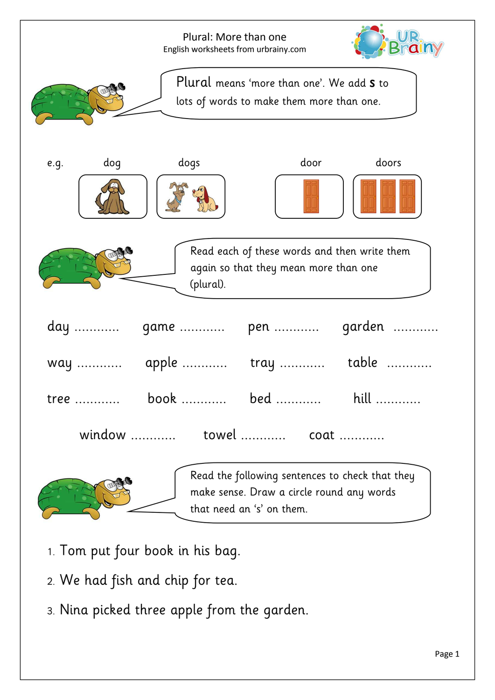|                     |           | Plural: More than one<br>English worksheets from urbrainy.com                                                             |        |
|---------------------|-----------|---------------------------------------------------------------------------------------------------------------------------|--------|
|                     |           | Plural means 'more than one'. We add <b>S</b> to<br>lots of words to make them more than one.                             |        |
| dog<br>e.g.         | dogs      | door                                                                                                                      | doors  |
|                     | (plural). | Read each of these words and then write them<br>again so that they mean more than one                                     |        |
| day                 | game      | pen                                                                                                                       | garden |
| way                 | apple     | tray                                                                                                                      | table  |
| tree                | book      | bed                                                                                                                       | hill   |
| window  towel  coat |           |                                                                                                                           |        |
|                     |           | Read the following sentences to check that they<br>make sense. Draw a circle round any words<br>that need an 's' on them. |        |

- 1. Tom put four book in his bag.
- 2. We had fish and chip for tea.
- 3. Nina picked three apple from the garden.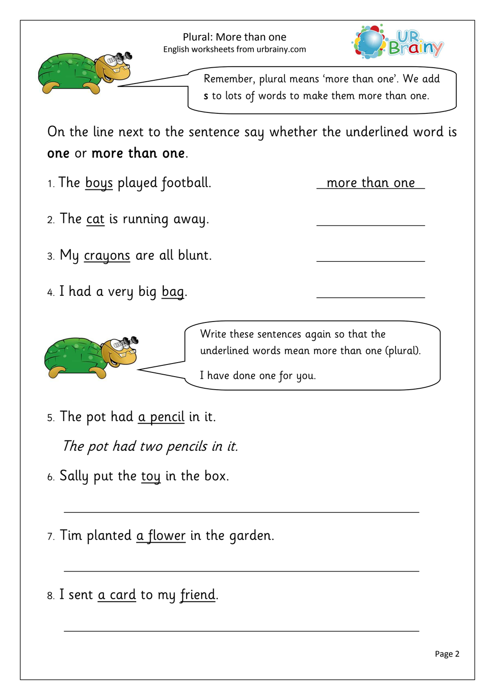

Remember, plural means 'more than one'. We add s to lots of words to make them more than one.

On the line next to the sentence say whether the underlined word is one or more than one.

1. The boys played football. more than one

- 2. The <u>cat</u> is running away.
- 3. My <u>crayons</u> are all blunt.
- 4. I had a very big bag. ---------------------------------



Write these sentences again so that the underlined words mean more than one (plural).

I have done one for you.

5. The pot had <u>a pencil</u> in it.

The pot had two pencils in it.

- 6. Sally put the toy in the box.
- 7. Tim planted  $a$  flower in the garden.
- 8. I sent a card to my friend.